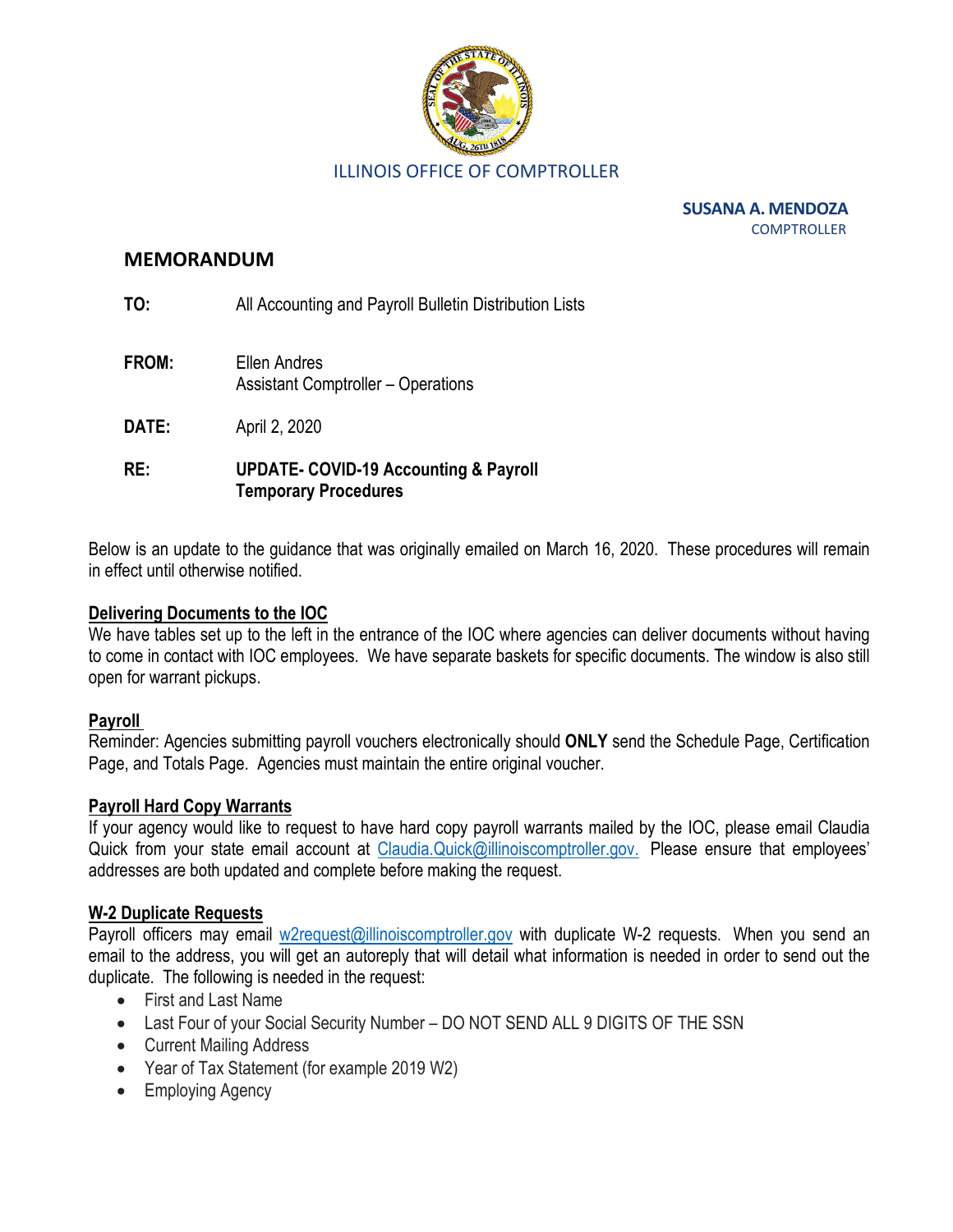

**SUSANA A. MENDOZA COMPTROLLER** 

### **MEMORANDUM**

**TO:** All Accounting and Payroll Bulletin Distribution Lists

- **FROM:** Ellen Andres Assistant Comptroller – Operations
- **DATE:** April 2, 2020

## **RE: UPDATE- COVID-19 Accounting & Payroll Temporary Procedures**

Below is an update to the guidance that was originally emailed on March 16, 2020. These procedures will remain in effect until otherwise notified.

### **Delivering Documents to the IOC**

We have tables set up to the left in the entrance of the IOC where agencies can deliver documents without having to come in contact with IOC employees. We have separate baskets for specific documents. The window is also still open for warrant pickups.

### **Payroll**

Reminder: Agencies submitting payroll vouchers electronically should **ONLY** send the Schedule Page, Certification Page, and Totals Page. Agencies must maintain the entire original voucher.

### **Payroll Hard Copy Warrants**

If your agency would like to request to have hard copy payroll warrants mailed by the IOC, please email Claudia Quick from your state email account at [Claudia.Quick@illinoiscomptroller.gov.](mailto:Claudia.Quick@illinoiscomptroller.gov) Please ensure that employees' addresses are both updated and complete before making the request.

### **W-2 Duplicate Requests**

Payroll officers may email [w2request@illinoiscomptroller.gov](mailto:w2request@illinoiscomptroller.gov) with duplicate W-2 requests. When you send an email to the address, you will get an autoreply that will detail what information is needed in order to send out the duplicate. The following is needed in the request:

- First and Last Name
- Last Four of your Social Security Number DO NOT SEND ALL 9 DIGITS OF THE SSN
- Current Mailing Address
- Year of Tax Statement (for example 2019 W2)
- Employing Agency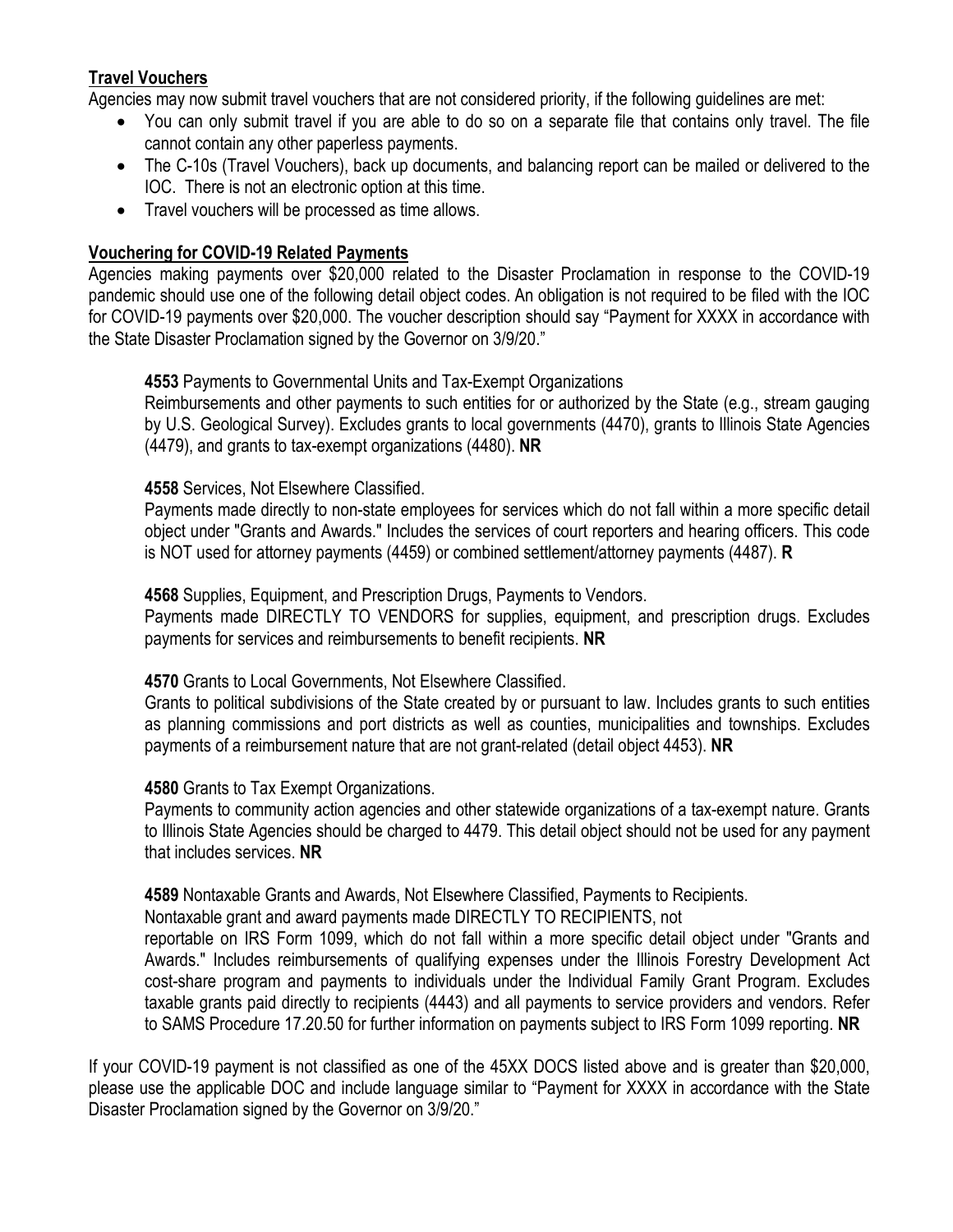# **Travel Vouchers**

Agencies may now submit travel vouchers that are not considered priority, if the following guidelines are met:

- You can only submit travel if you are able to do so on a separate file that contains only travel. The file cannot contain any other paperless payments.
- The C-10s (Travel Vouchers), back up documents, and balancing report can be mailed or delivered to the IOC. There is not an electronic option at this time.
- Travel vouchers will be processed as time allows.

## **Vouchering for COVID-19 Related Payments**

Agencies making payments over \$20,000 related to the Disaster Proclamation in response to the COVID-19 pandemic should use one of the following detail object codes. An obligation is not required to be filed with the IOC for COVID-19 payments over \$20,000. The voucher description should say "Payment for XXXX in accordance with the State Disaster Proclamation signed by the Governor on 3/9/20."

# **4553** Payments to Governmental Units and Tax-Exempt Organizations

Reimbursements and other payments to such entities for or authorized by the State (e.g., stream gauging by U.S. Geological Survey). Excludes grants to local governments (4470), grants to Illinois State Agencies (4479), and grants to tax-exempt organizations (4480). **NR**

## **4558** Services, Not Elsewhere Classified.

Payments made directly to non-state employees for services which do not fall within a more specific detail object under "Grants and Awards." Includes the services of court reporters and hearing officers. This code is NOT used for attorney payments (4459) or combined settlement/attorney payments (4487). **R**

**4568** Supplies, Equipment, and Prescription Drugs, Payments to Vendors.

Payments made DIRECTLY TO VENDORS for supplies, equipment, and prescription drugs. Excludes payments for services and reimbursements to benefit recipients. **NR**

## **4570** Grants to Local Governments, Not Elsewhere Classified.

Grants to political subdivisions of the State created by or pursuant to law. Includes grants to such entities as planning commissions and port districts as well as counties, municipalities and townships. Excludes payments of a reimbursement nature that are not grant-related (detail object 4453). **NR**

## **4580** Grants to Tax Exempt Organizations.

Payments to community action agencies and other statewide organizations of a tax-exempt nature. Grants to Illinois State Agencies should be charged to 4479. This detail object should not be used for any payment that includes services. **NR**

**4589** Nontaxable Grants and Awards, Not Elsewhere Classified, Payments to Recipients.

Nontaxable grant and award payments made DIRECTLY TO RECIPIENTS, not

reportable on IRS Form 1099, which do not fall within a more specific detail object under "Grants and Awards." Includes reimbursements of qualifying expenses under the Illinois Forestry Development Act cost-share program and payments to individuals under the Individual Family Grant Program. Excludes taxable grants paid directly to recipients (4443) and all payments to service providers and vendors. Refer to SAMS Procedure 17.20.50 for further information on payments subject to IRS Form 1099 reporting. **NR**

If your COVID-19 payment is not classified as one of the 45XX DOCS listed above and is greater than \$20,000, please use the applicable DOC and include language similar to "Payment for XXXX in accordance with the State Disaster Proclamation signed by the Governor on 3/9/20."